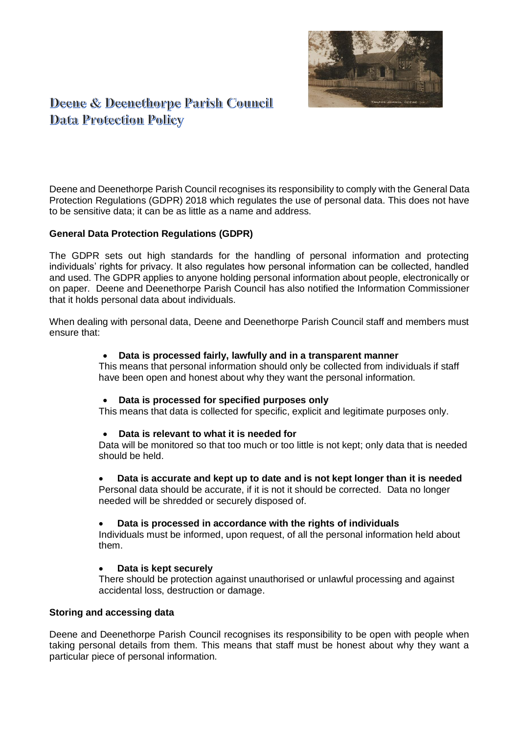

# Deene & Deenethorpe Parish Council **Data Protection Policy**

Deene and Deenethorpe Parish Council recognises its responsibility to comply with the General Data Protection Regulations (GDPR) 2018 which regulates the use of personal data. This does not have to be sensitive data; it can be as little as a name and address.

## **General Data Protection Regulations (GDPR)**

The GDPR sets out high standards for the handling of personal information and protecting individuals' rights for privacy. It also regulates how personal information can be collected, handled and used. The GDPR applies to anyone holding personal information about people, electronically or on paper. Deene and Deenethorpe Parish Council has also notified the Information Commissioner that it holds personal data about individuals.

When dealing with personal data, Deene and Deenethorpe Parish Council staff and members must ensure that:

#### • **Data is processed fairly, lawfully and in a transparent manner**

This means that personal information should only be collected from individuals if staff have been open and honest about why they want the personal information.

## • **Data is processed for specified purposes only**

This means that data is collected for specific, explicit and legitimate purposes only.

## • **Data is relevant to what it is needed for**

Data will be monitored so that too much or too little is not kept; only data that is needed should be held.

## • **Data is accurate and kept up to date and is not kept longer than it is needed**

Personal data should be accurate, if it is not it should be corrected. Data no longer needed will be shredded or securely disposed of.

#### • **Data is processed in accordance with the rights of individuals**

Individuals must be informed, upon request, of all the personal information held about them.

#### • **Data is kept securely**

There should be protection against unauthorised or unlawful processing and against accidental loss, destruction or damage.

#### **Storing and accessing data**

Deene and Deenethorpe Parish Council recognises its responsibility to be open with people when taking personal details from them. This means that staff must be honest about why they want a particular piece of personal information.